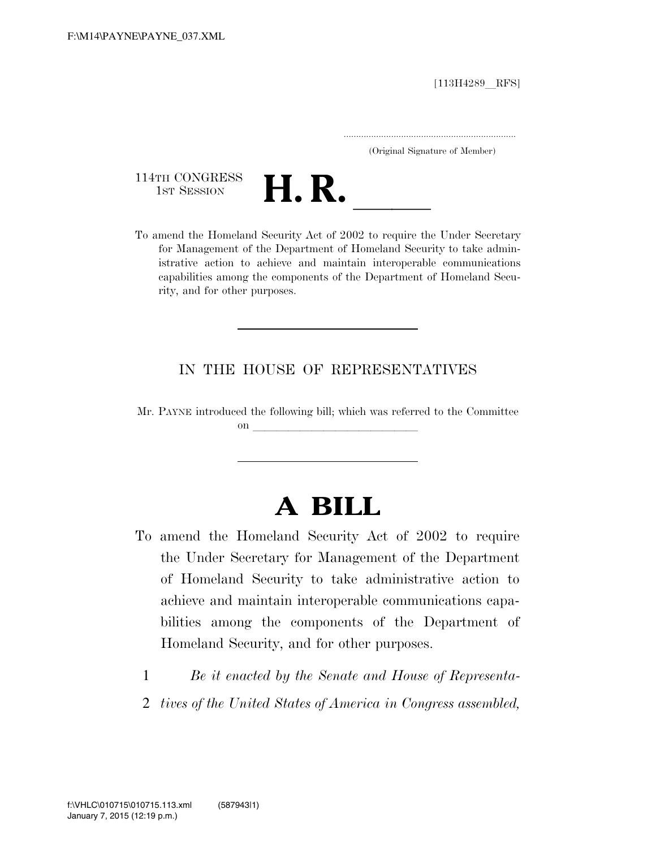$[113H4289$  RFS]

.....................................................................

(Original Signature of Member)

114TH CONGRESS



To amend the Homeland Security Act of 2002 to require the Under Secretary for Management of the Department of Homeland Security to take administrative action to achieve and maintain interoperable communications capabilities among the components of the Department of Homeland Security, and for other purposes.

## IN THE HOUSE OF REPRESENTATIVES

Mr. PAYNE introduced the following bill; which was referred to the Committee  $\mathbf{on}$ 

## **A BILL**

- To amend the Homeland Security Act of 2002 to require the Under Secretary for Management of the Department of Homeland Security to take administrative action to achieve and maintain interoperable communications capabilities among the components of the Department of Homeland Security, and for other purposes.
	- 1 *Be it enacted by the Senate and House of Representa-*
	- 2 *tives of the United States of America in Congress assembled,*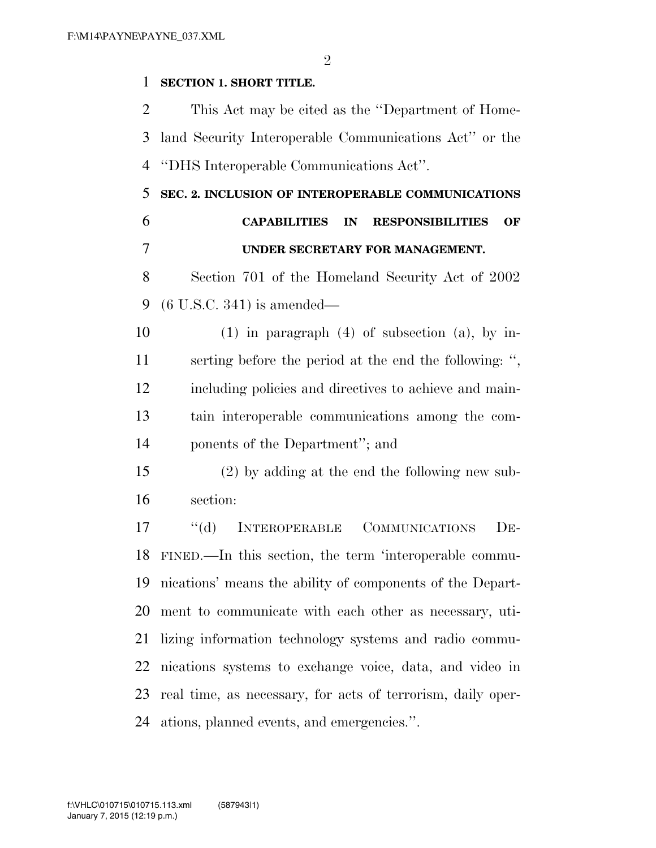$\mathfrak{D}$ 

## **SECTION 1. SHORT TITLE.**

 This Act may be cited as the ''Department of Home- land Security Interoperable Communications Act'' or the ''DHS Interoperable Communications Act''.

 **SEC. 2. INCLUSION OF INTEROPERABLE COMMUNICATIONS CAPABILITIES IN RESPONSIBILITIES OF UNDER SECRETARY FOR MANAGEMENT.** 

 Section 701 of the Homeland Security Act of 2002 (6 U.S.C. 341) is amended—

10 (1) in paragraph  $(4)$  of subsection (a), by in- serting before the period at the end the following: '', including policies and directives to achieve and main- tain interoperable communications among the com-ponents of the Department''; and

 (2) by adding at the end the following new sub-section:

 ''(d) INTEROPERABLE COMMUNICATIONS DE- FINED.—In this section, the term 'interoperable commu- nications' means the ability of components of the Depart- ment to communicate with each other as necessary, uti- lizing information technology systems and radio commu- nications systems to exchange voice, data, and video in real time, as necessary, for acts of terrorism, daily oper-ations, planned events, and emergencies.''.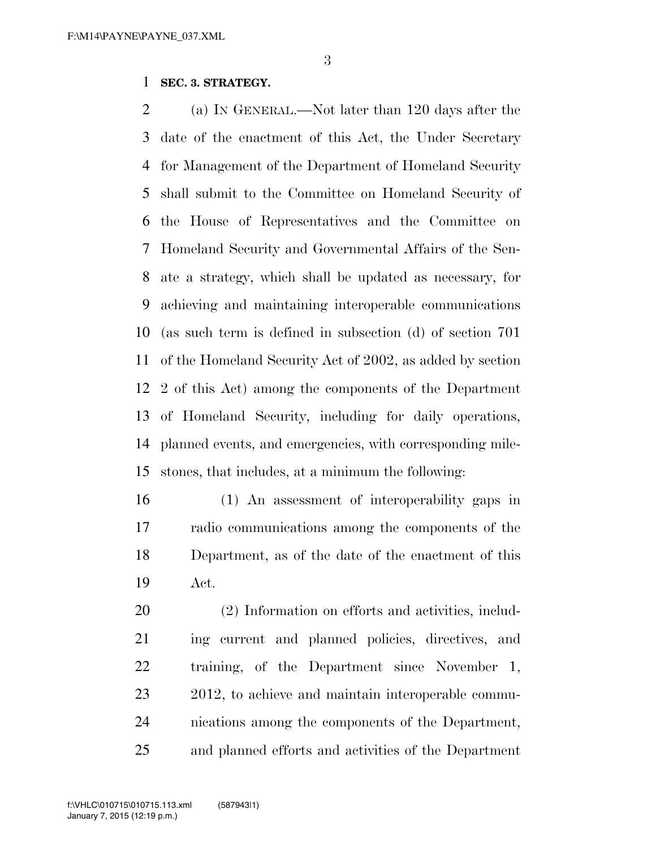## **SEC. 3. STRATEGY.**

 (a) IN GENERAL.—Not later than 120 days after the date of the enactment of this Act, the Under Secretary for Management of the Department of Homeland Security shall submit to the Committee on Homeland Security of the House of Representatives and the Committee on Homeland Security and Governmental Affairs of the Sen- ate a strategy, which shall be updated as necessary, for achieving and maintaining interoperable communications (as such term is defined in subsection (d) of section 701 of the Homeland Security Act of 2002, as added by section 2 of this Act) among the components of the Department of Homeland Security, including for daily operations, planned events, and emergencies, with corresponding mile-stones, that includes, at a minimum the following:

 (1) An assessment of interoperability gaps in radio communications among the components of the Department, as of the date of the enactment of this Act.

 (2) Information on efforts and activities, includ- ing current and planned policies, directives, and training, of the Department since November 1, 2012, to achieve and maintain interoperable commu- nications among the components of the Department, and planned efforts and activities of the Department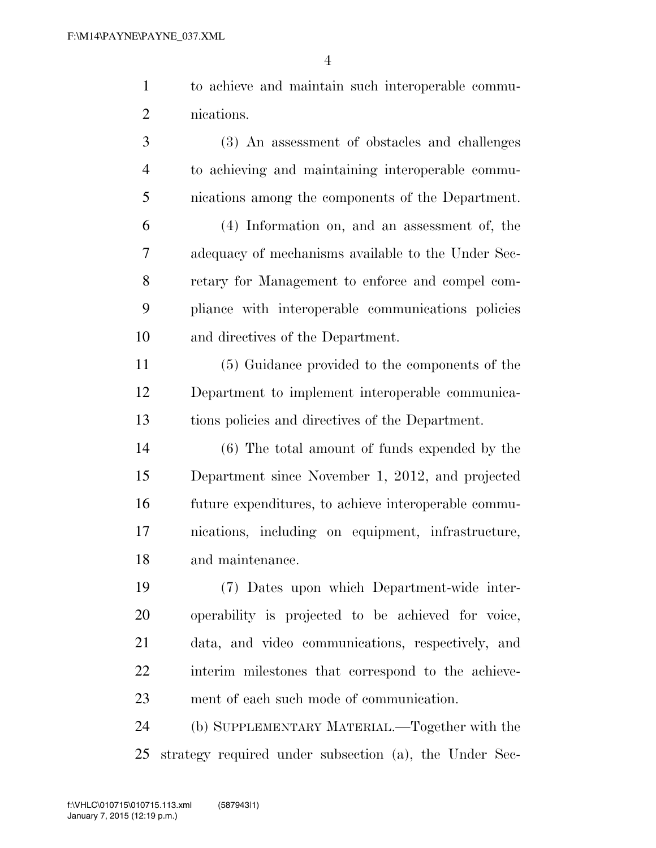to achieve and maintain such interoperable commu-nications.

 (3) An assessment of obstacles and challenges to achieving and maintaining interoperable commu-nications among the components of the Department.

 (4) Information on, and an assessment of, the adequacy of mechanisms available to the Under Sec- retary for Management to enforce and compel com- pliance with interoperable communications policies and directives of the Department.

 (5) Guidance provided to the components of the Department to implement interoperable communica-tions policies and directives of the Department.

 (6) The total amount of funds expended by the Department since November 1, 2012, and projected future expenditures, to achieve interoperable commu- nications, including on equipment, infrastructure, and maintenance.

 (7) Dates upon which Department-wide inter- operability is projected to be achieved for voice, data, and video communications, respectively, and interim milestones that correspond to the achieve-ment of each such mode of communication.

 (b) SUPPLEMENTARY MATERIAL.—Together with the strategy required under subsection (a), the Under Sec-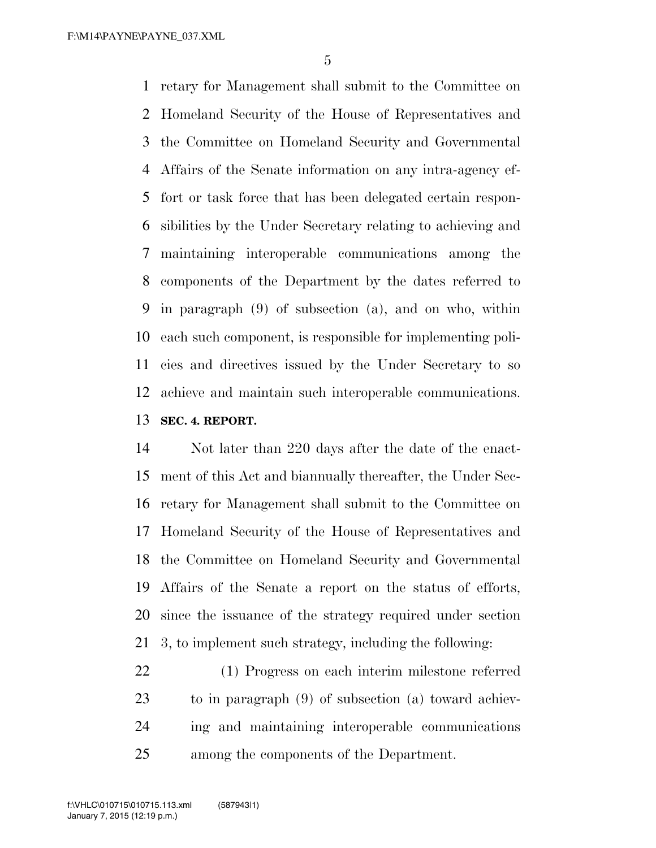retary for Management shall submit to the Committee on Homeland Security of the House of Representatives and the Committee on Homeland Security and Governmental Affairs of the Senate information on any intra-agency ef- fort or task force that has been delegated certain respon- sibilities by the Under Secretary relating to achieving and maintaining interoperable communications among the components of the Department by the dates referred to in paragraph (9) of subsection (a), and on who, within each such component, is responsible for implementing poli- cies and directives issued by the Under Secretary to so achieve and maintain such interoperable communications. **SEC. 4. REPORT.** 

 Not later than 220 days after the date of the enact- ment of this Act and biannually thereafter, the Under Sec- retary for Management shall submit to the Committee on Homeland Security of the House of Representatives and the Committee on Homeland Security and Governmental Affairs of the Senate a report on the status of efforts, since the issuance of the strategy required under section 3, to implement such strategy, including the following:

 (1) Progress on each interim milestone referred to in paragraph (9) of subsection (a) toward achiev- ing and maintaining interoperable communications among the components of the Department.